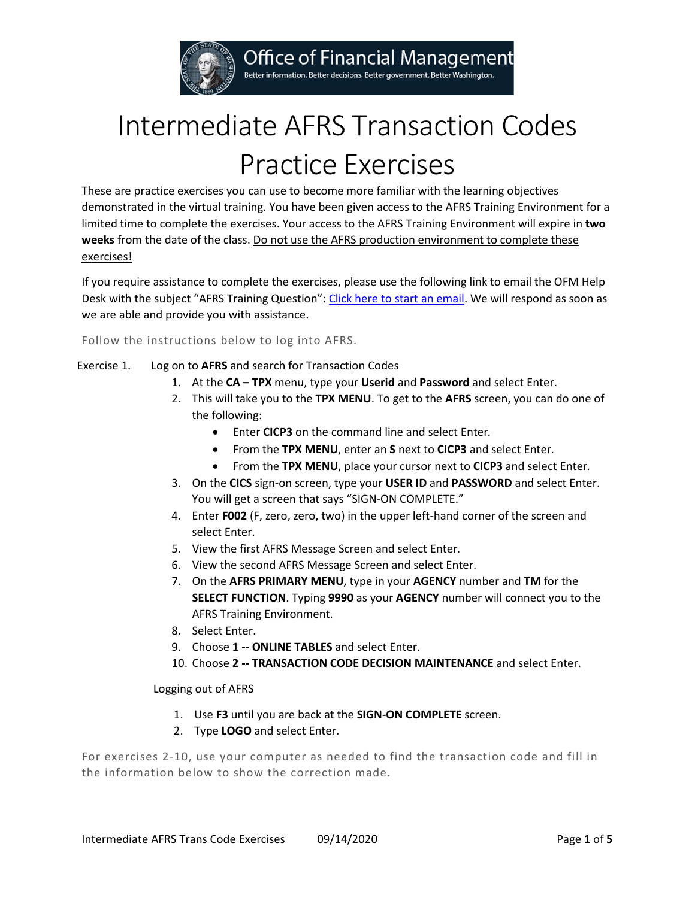

Office of Financial Management

Better information. Better decisions. Better government. Better Washington.

## Intermediate AFRS Transaction Codes Practice Exercises

These are practice exercises you can use to become more familiar with the learning objectives demonstrated in the virtual training. You have been given access to the AFRS Training Environment for a limited time to complete the exercises. Your access to the AFRS Training Environment will expire in **two weeks** from the date of the class. Do not use the AFRS production environment to complete these exercises!

If you require assistance to complete the exercises, please use the following link to email the OFM Help Desk with the subject "AFRS Training Question"[: Click here to start an email.](mailto:HeretoHelp@ofm.wa.gov?subject=AFRS%20Training%20Question) We will respond as soon as we are able and provide you with assistance.

Follow the instructions below to log into AFRS.

- Exercise 1. Log on to **AFRS** and search for Transaction Codes
	- 1. At the **CA – TPX** menu, type your **Userid** and **Password** and select Enter.
	- 2. This will take you to the **TPX MENU**. To get to the **AFRS** screen, you can do one of the following:
		- Enter **CICP3** on the command line and select Enter*.*
		- From the **TPX MENU**, enter an **S** next to **CICP3** and select Enter*.*
		- From the **TPX MENU**, place your cursor next to **CICP3** and select Enter*.*
	- 3. On the **CICS** sign-on screen, type your **USER ID** and **PASSWORD** and select Enter. You will get a screen that says "SIGN-ON COMPLETE."
	- 4. Enter **F002** (F, zero, zero, two) in the upper left-hand corner of the screen and select Enter.
	- 5. View the first AFRS Message Screen and select Enter*.*
	- 6. View the second AFRS Message Screen and select Enter.
	- 7. On the **AFRS PRIMARY MENU**, type in your **AGENCY** number and **TM** for the **SELECT FUNCTION**. Typing **9990** as your **AGENCY** number will connect you to the AFRS Training Environment.
	- 8. Select Enter.
	- 9. Choose **1 -- ONLINE TABLES** and select Enter.
	- 10. Choose **2 -- TRANSACTION CODE DECISION MAINTENANCE** and select Enter.

Logging out of AFRS

- 1. Use **F3** until you are back at the **SIGN-ON COMPLETE** screen.
- 2. Type **LOGO** and select Enter.

For exercises 2-10, use your computer as needed to find the transaction code and fill in the information below to show the correction made.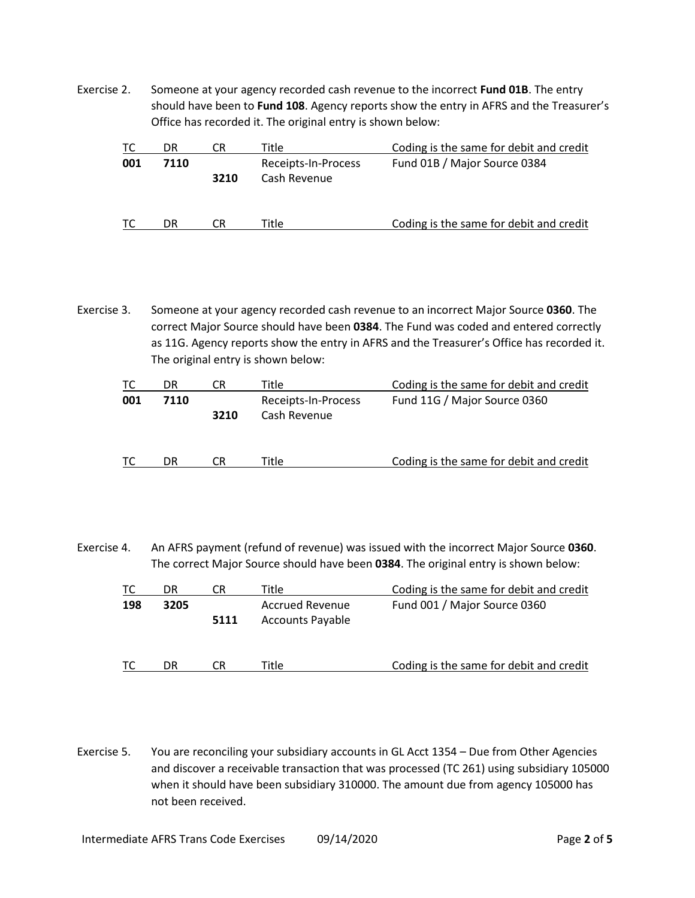Exercise 2. Someone at your agency recorded cash revenue to the incorrect **Fund 01B**. The entry should have been to **Fund 108**. Agency reports show the entry in AFRS and the Treasurer's Office has recorded it. The original entry is shown below:

| TC. | DR   |      | Title.                              | Coding is the same for debit and credit |
|-----|------|------|-------------------------------------|-----------------------------------------|
| 001 | 7110 | 3210 | Receipts-In-Process<br>Cash Revenue | Fund 01B / Major Source 0384            |
| ТC  | DR   |      | ⊺itle                               | Coding is the same for debit and credit |

Exercise 3. Someone at your agency recorded cash revenue to an incorrect Major Source **0360**. The correct Major Source should have been **0384**. The Fund was coded and entered correctly as 11G. Agency reports show the entry in AFRS and the Treasurer's Office has recorded it. The original entry is shown below:

|     | DR   | CК   | Title                               | Coding is the same for debit and credit |
|-----|------|------|-------------------------------------|-----------------------------------------|
| 001 | 7110 | 3210 | Receipts-In-Process<br>Cash Revenue | Fund 11G / Major Source 0360            |
| ТC  | DR   | CR   | Title                               | Coding is the same for debit and credit |

Exercise 4. An AFRS payment (refund of revenue) was issued with the incorrect Major Source **0360**. The correct Major Source should have been **0384**. The original entry is shown below:

| TC. | DR   | LΚ   | Title                                             | Coding is the same for debit and credit |
|-----|------|------|---------------------------------------------------|-----------------------------------------|
| 198 | 3205 | 5111 | <b>Accrued Revenue</b><br><b>Accounts Payable</b> | Fund 001 / Major Source 0360            |
|     | DR   | CR.  | Title                                             | Coding is the same for debit and credit |

Exercise 5. You are reconciling your subsidiary accounts in GL Acct 1354 – Due from Other Agencies and discover a receivable transaction that was processed (TC 261) using subsidiary 105000 when it should have been subsidiary 310000. The amount due from agency 105000 has not been received.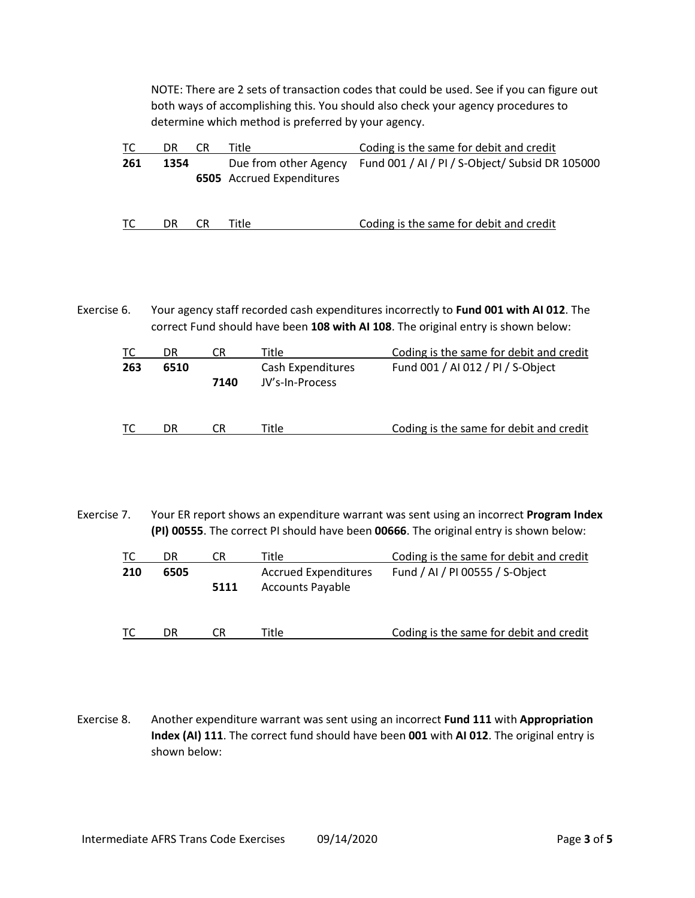NOTE: There are 2 sets of transaction codes that could be used. See if you can figure out both ways of accomplishing this. You should also check your agency procedures to determine which method is preferred by your agency.

| ТC  | DR   | CR | Title                            | Coding is the same for debit and credit                               |
|-----|------|----|----------------------------------|-----------------------------------------------------------------------|
| 261 | 1354 |    | <b>6505</b> Accrued Expenditures | Due from other Agency Fund 001 / AI / PI / S-Object/ Subsid DR 105000 |
| TC. | DR   | CR | Title                            | Coding is the same for debit and credit                               |

Exercise 6. Your agency staff recorded cash expenditures incorrectly to **Fund 001 with AI 012**. The correct Fund should have been **108 with AI 108**. The original entry is shown below:

| ТC  | DR   | CR   | Title                                | Coding is the same for debit and credit |
|-----|------|------|--------------------------------------|-----------------------------------------|
| 263 | 6510 | 7140 | Cash Expenditures<br>JV's-In-Process | Fund 001 / AI 012 / PI / S-Object       |
|     | DR   | CR   | Title                                | Coding is the same for debit and credit |

Exercise 7. Your ER report shows an expenditure warrant was sent using an incorrect **Program Index (PI) 00555**. The correct PI should have been **00666**. The original entry is shown below:

| ТC  | DR   | CR   | Title                                                  | Coding is the same for debit and credit |
|-----|------|------|--------------------------------------------------------|-----------------------------------------|
| 210 | 6505 | 5111 | <b>Accrued Expenditures</b><br><b>Accounts Payable</b> | Fund / AI / PI 00555 / S-Object         |
| TС  | DR   | CR   | Title                                                  | Coding is the same for debit and credit |

Exercise 8. Another expenditure warrant was sent using an incorrect **Fund 111** with **Appropriation Index (AI) 111**. The correct fund should have been **001** with **AI 012**. The original entry is shown below: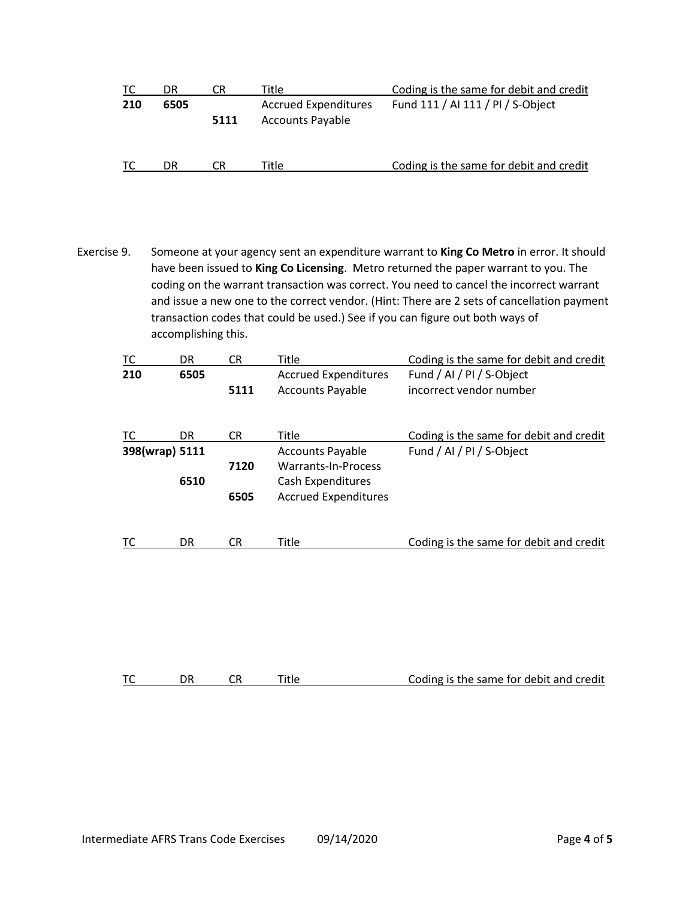| ТC  | DR.  | CR   | Title                                                  | Coding is the same for debit and credit |
|-----|------|------|--------------------------------------------------------|-----------------------------------------|
| 210 | 6505 | 5111 | <b>Accrued Expenditures</b><br><b>Accounts Payable</b> | Fund 111 / AI 111 / PI / S-Object       |
| ТC  | DR   | CR   | Title                                                  | Coding is the same for debit and credit |

Exercise 9. Someone at your agency sent an expenditure warrant to **King Co Metro** in error. It should have been issued to **King Co Licensing**. Metro returned the paper warrant to you. The coding on the warrant transaction was correct. You need to cancel the incorrect warrant and issue a new one to the correct vendor. (Hint: There are 2 sets of cancellation payment transaction codes that could be used.) See if you can figure out both ways of accomplishing this.

| TC             | DR   | СR   | Title                       | Coding is the same for debit and credit |
|----------------|------|------|-----------------------------|-----------------------------------------|
| 210            | 6505 |      | <b>Accrued Expenditures</b> | Fund / AI / PI / S-Object               |
|                |      | 5111 | <b>Accounts Payable</b>     | incorrect vendor number                 |
| TC             | DR.  | CR.  | Title                       | Coding is the same for debit and credit |
| 398(wrap) 5111 |      |      | <b>Accounts Payable</b>     | Fund / AI / PI / S-Object               |
|                |      | 7120 | Warrants-In-Process         |                                         |
|                | 6510 |      | Cash Expenditures           |                                         |
|                |      | 6505 | <b>Accrued Expenditures</b> |                                         |
| ТC             | DR   | CR   | Title                       | Coding is the same for debit and credit |

|  | <b>TC</b> |  |  |  | Coding is the same for debit and credit |
|--|-----------|--|--|--|-----------------------------------------|
|--|-----------|--|--|--|-----------------------------------------|